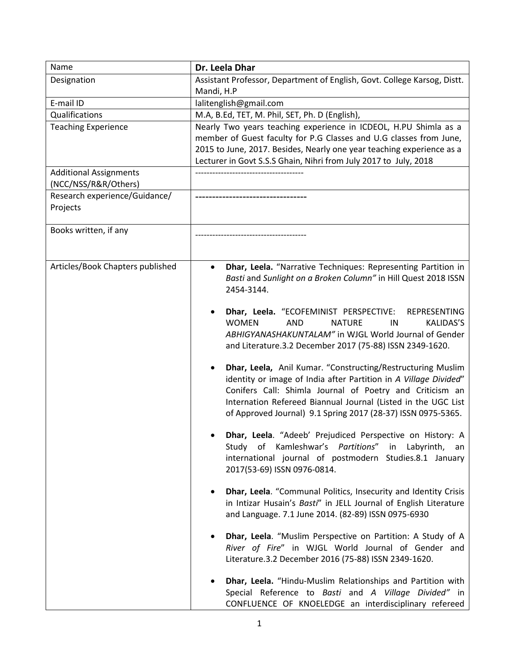| Name                             | Dr. Leela Dhar                                                                                                               |
|----------------------------------|------------------------------------------------------------------------------------------------------------------------------|
| Designation                      | Assistant Professor, Department of English, Govt. College Karsog, Distt.                                                     |
|                                  | Mandi, H.P                                                                                                                   |
| E-mail ID                        | lalitenglish@gmail.com                                                                                                       |
| Qualifications                   | M.A, B.Ed, TET, M. Phil, SET, Ph. D (English),                                                                               |
| <b>Teaching Experience</b>       | Nearly Two years teaching experience in ICDEOL, H.PU Shimla as a                                                             |
|                                  | member of Guest faculty for P.G Classes and U.G classes from June,                                                           |
|                                  | 2015 to June, 2017. Besides, Nearly one year teaching experience as a                                                        |
|                                  | Lecturer in Govt S.S.S Ghain, Nihri from July 2017 to July, 2018                                                             |
| <b>Additional Assignments</b>    |                                                                                                                              |
| (NCC/NSS/R&R/Others)             |                                                                                                                              |
| Research experience/Guidance/    |                                                                                                                              |
| Projects                         |                                                                                                                              |
| Books written, if any            |                                                                                                                              |
|                                  |                                                                                                                              |
|                                  |                                                                                                                              |
| Articles/Book Chapters published | Dhar, Leela. "Narrative Techniques: Representing Partition in<br>$\bullet$                                                   |
|                                  | Basti and Sunlight on a Broken Column" in Hill Quest 2018 ISSN                                                               |
|                                  | 2454-3144.                                                                                                                   |
|                                  |                                                                                                                              |
|                                  | Dhar, Leela. "ECOFEMINIST PERSPECTIVE:<br><b>REPRESENTING</b>                                                                |
|                                  | <b>WOMEN</b><br><b>KALIDAS'S</b><br><b>AND</b><br><b>NATURE</b><br>IN                                                        |
|                                  | ABHIGYANASHAKUNTALAM" in WJGL World Journal of Gender                                                                        |
|                                  | and Literature.3.2 December 2017 (75-88) ISSN 2349-1620.                                                                     |
|                                  |                                                                                                                              |
|                                  | Dhar, Leela, Anil Kumar. "Constructing/Restructuring Muslim<br>٠                                                             |
|                                  | identity or image of India after Partition in A Village Divided"<br>Conifers Call: Shimla Journal of Poetry and Criticism an |
|                                  | Internation Refereed Biannual Journal (Listed in the UGC List                                                                |
|                                  | of Approved Journal) 9.1 Spring 2017 (28-37) ISSN 0975-5365.                                                                 |
|                                  |                                                                                                                              |
|                                  | Dhar, Leela. "Adeeb' Prejudiced Perspective on History: A                                                                    |
|                                  | Study of Kamleshwar's Partitions" in Labyrinth,<br>an                                                                        |
|                                  | international journal of postmodern Studies.8.1 January                                                                      |
|                                  | 2017(53-69) ISSN 0976-0814.                                                                                                  |
|                                  |                                                                                                                              |
|                                  | Dhar, Leela. "Communal Politics, Insecurity and Identity Crisis<br>٠                                                         |
|                                  | in Intizar Husain's Basti" in JELL Journal of English Literature                                                             |
|                                  | and Language. 7.1 June 2014. (82-89) ISSN 0975-6930                                                                          |
|                                  |                                                                                                                              |
|                                  | Dhar, Leela. "Muslim Perspective on Partition: A Study of A<br>River of Fire" in WJGL World Journal of Gender and            |
|                                  | Literature.3.2 December 2016 (75-88) ISSN 2349-1620.                                                                         |
|                                  |                                                                                                                              |
|                                  | Dhar, Leela. "Hindu-Muslim Relationships and Partition with                                                                  |
|                                  | Special Reference to Basti and A Village Divided" in                                                                         |
|                                  | CONFLUENCE OF KNOELEDGE an interdisciplinary refereed                                                                        |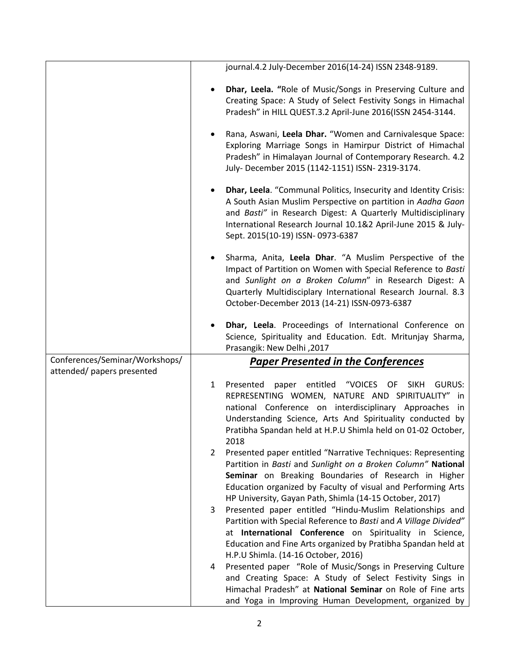|                                | journal.4.2 July-December 2016(14-24) ISSN 2348-9189.                                                                       |
|--------------------------------|-----------------------------------------------------------------------------------------------------------------------------|
|                                | Dhar, Leela. "Role of Music/Songs in Preserving Culture and                                                                 |
|                                | Creating Space: A Study of Select Festivity Songs in Himachal                                                               |
|                                | Pradesh" in HILL QUEST.3.2 April-June 2016(ISSN 2454-3144.                                                                  |
|                                | Rana, Aswani, Leela Dhar. "Women and Carnivalesque Space:                                                                   |
|                                | Exploring Marriage Songs in Hamirpur District of Himachal                                                                   |
|                                | Pradesh" in Himalayan Journal of Contemporary Research. 4.2<br>July- December 2015 (1142-1151) ISSN- 2319-3174.             |
|                                |                                                                                                                             |
|                                | Dhar, Leela. "Communal Politics, Insecurity and Identity Crisis:                                                            |
|                                | A South Asian Muslim Perspective on partition in Aadha Gaon<br>and Basti" in Research Digest: A Quarterly Multidisciplinary |
|                                | International Research Journal 10.1&2 April-June 2015 & July-                                                               |
|                                | Sept. 2015(10-19) ISSN-0973-6387                                                                                            |
|                                | Sharma, Anita, Leela Dhar. "A Muslim Perspective of the                                                                     |
|                                | Impact of Partition on Women with Special Reference to Basti                                                                |
|                                | and Sunlight on a Broken Column" in Research Digest: A<br>Quarterly Multidisciplary International Research Journal. 8.3     |
|                                | October-December 2013 (14-21) ISSN-0973-6387                                                                                |
|                                |                                                                                                                             |
|                                | Dhar, Leela. Proceedings of International Conference on                                                                     |
|                                |                                                                                                                             |
|                                | Science, Spirituality and Education. Edt. Mritunjay Sharma,                                                                 |
| Conferences/Seminar/Workshops/ | Prasangik: New Delhi, 2017<br><b>Paper Presented in the Conferences</b>                                                     |
| attended/ papers presented     |                                                                                                                             |
|                                | entitled<br>"VOICES<br><b>GURUS:</b><br>Presented<br>OF<br><b>SIKH</b><br>1<br>paper                                        |
|                                | REPRESENTING WOMEN, NATURE AND SPIRITUALITY" in                                                                             |
|                                | national Conference on interdisciplinary Approaches in<br>Understanding Science, Arts And Spirituality conducted by         |
|                                | Pratibha Spandan held at H.P.U Shimla held on 01-02 October,                                                                |
|                                | 2018                                                                                                                        |
|                                | Presented paper entitled "Narrative Techniques: Representing<br>2                                                           |
|                                | Partition in Basti and Sunlight on a Broken Column" National<br>Seminar on Breaking Boundaries of Research in Higher        |
|                                | Education organized by Faculty of visual and Performing Arts                                                                |
|                                | HP University, Gayan Path, Shimla (14-15 October, 2017)                                                                     |
|                                | Presented paper entitled "Hindu-Muslim Relationships and<br>3                                                               |
|                                | Partition with Special Reference to Basti and A Village Divided"<br>at International Conference on Spirituality in Science, |
|                                | Education and Fine Arts organized by Pratibha Spandan held at                                                               |
|                                | H.P.U Shimla. (14-16 October, 2016)                                                                                         |
|                                | Presented paper "Role of Music/Songs in Preserving Culture<br>4                                                             |
|                                | and Creating Space: A Study of Select Festivity Sings in<br>Himachal Pradesh" at National Seminar on Role of Fine arts      |